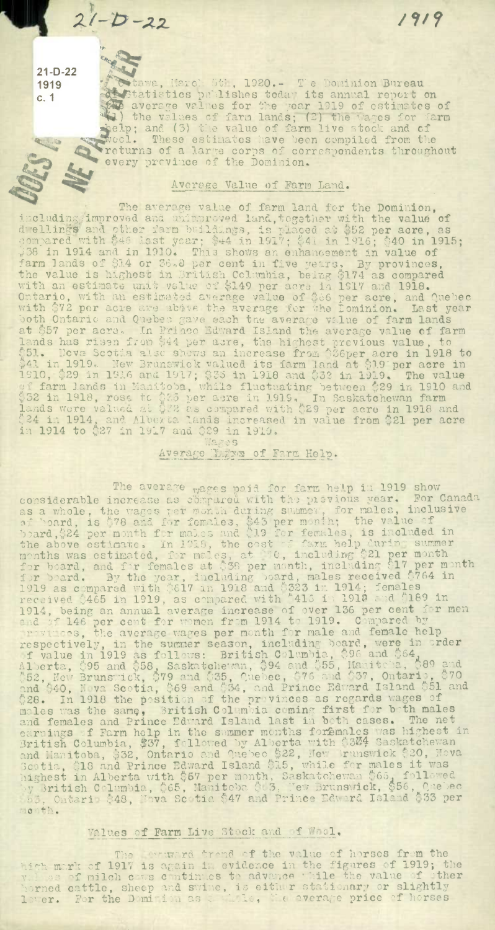$21 - D - 22$ 

 $21 - D - 22$ 1919  $c. 1$ 

Cotawa, March 5th, 1920.- The Dominion Bureau<br>
Statistics publishes today its annual report on<br>
Ste average values for the year 1919 of estimates of<br>
(1) the values of farm lands; (2) the vages for farm<br>
help; and (3) the wool. These estimates have been compiled from the returns of a large corps of correspondents throughout

1919

## Average Value of Farm Land.

The average value of farm land for the Dominion, The average value of farm land for the Dominion,<br>including improved and unimproved land, together with the value of<br>dwellings and other farm buildings, is placed at \$52 per acre, as<br>compared with \$46 last year; \$44 in 1917 with 972 per acre are above the average for the Iominion. Lest year<br>both Ontaric and Quebec gave each the average value of farm lands<br>at \$57 per acre. In Prince Edward Island the average value of farm<br>lands has risen from **GROS** 

Average Tagxe of Farm Help.

The average wages paid for farm help in 1919 show considerable increase as computed with the next is provide per and as a whole, the vages per month drains summer, for males in 2014 of the same is computed with the space of board, is  $\sqrt{24}$  per month for males and  $\sqrt{1$ considerable increase as compared with the previous year. For Canada moles was the same, British Columbia coming first for both males moles was the same, British Columbia coming first for both males<br>and females and Prince Edward Island last in both cases. The net<br>earnings of Farm help in the summer months foremales was highest in<br>British Columbia, \$37, f mo th.

## Values of Farm Live Stock and f Wool.

The lattuard trend of the value of herses from the high mark of 1917 is again in evidence in the figures of 1919; the value of milch cause ontinues to advance while the value of other horned cattle, sheep and swine, is either stationary or slightly lover. For the Duminian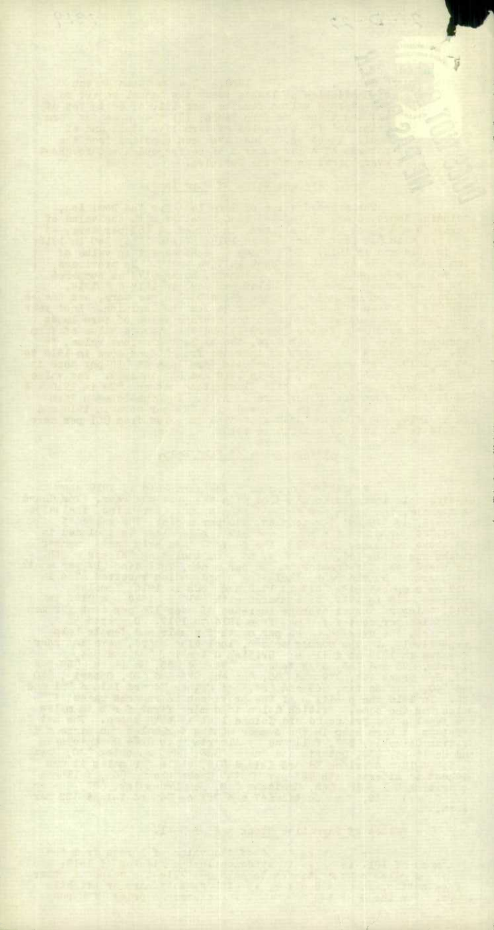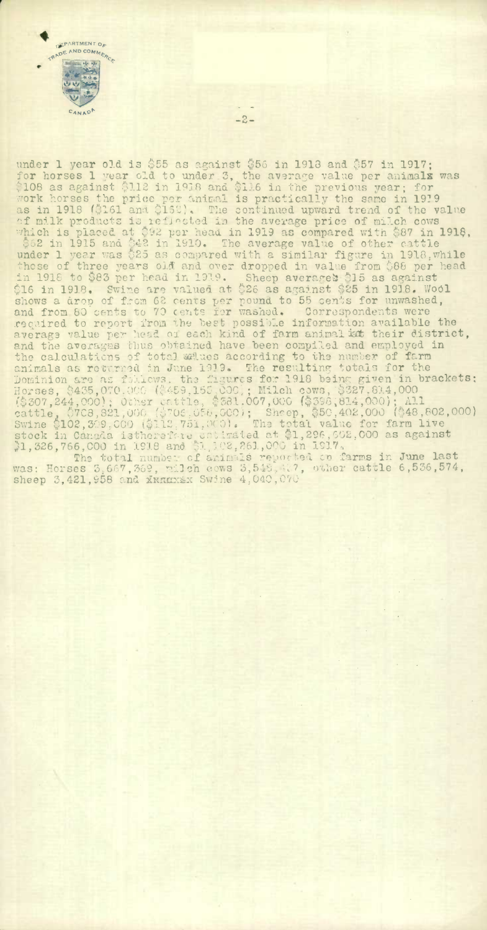![](_page_2_Picture_0.jpeg)

under 1 year old is \$55 as against \$56 in 1913 and \$57 in 1917;<br>for horses 1 year old to under 3, the average value per animals was<br>\$108 as against \$112 in 1918 and \$116 in the previous year; for<br>work horses the price per under 1 year old is \$55 as against \$56 in 1918 and \$57 in 1917; \$16 in 1918. Swine are valued at \$26 as against \$25 in 1918. Wool shows a årep of from 62 cents per pound to 55 cents for unwashed, and from 80 cents to 70 cents for washed. Correspondents were required to report from the best possible information available the average value per head of each kind of farm animal iat their district, and the averages thus obtained have been compiled and employed in the calculations of total where according to the number of farm<br>animals as returned in June 1919. The resulting totals for the<br>Dominion are as follows, the figures for 1918 being given in brackets;<br>Horses, \$435,070.000 (\$4 the calculations of total walues according to the number of farm

 $-2-$